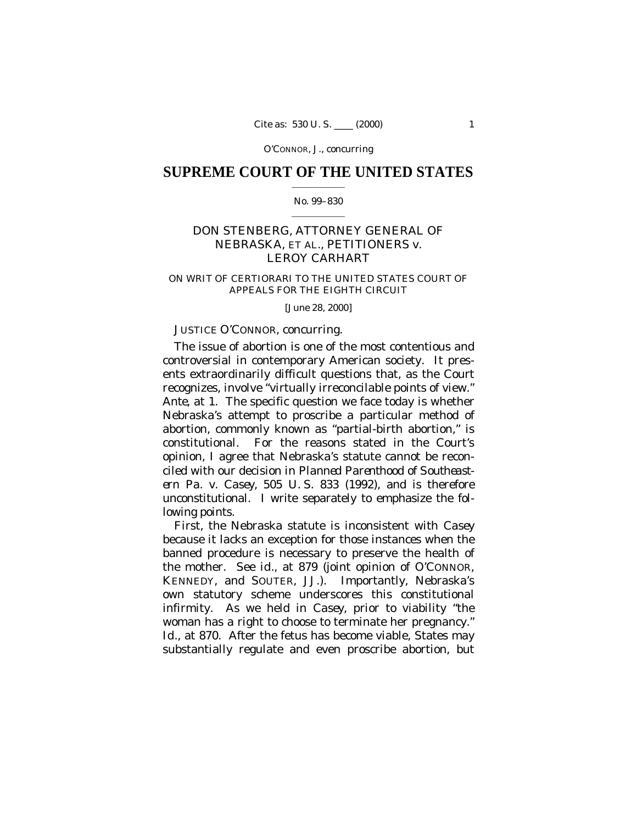## **SUPREME COURT OF THE UNITED STATES**  $\mathcal{L}_\text{max}$  and  $\mathcal{L}_\text{max}$

### No. 99–830  $\mathcal{L}_\text{max}$  and  $\mathcal{L}_\text{max}$

# DON STENBERG, ATTORNEY GENERAL OF NEBRASKA, ET AL., PETITIONERS *v.* LEROY CARHART

## ON WRIT OF CERTIORARI TO THE UNITED STATES COURT OF APPEALS FOR THE EIGHTH CIRCUIT

## [June 28, 2000]

## JUSTICE O'CONNOR, concurring.

The issue of abortion is one of the most contentious and controversial in contemporary American society. It presents extraordinarily difficult questions that, as the Court recognizes, involve "virtually irreconcilable points of view." *Ante*, at 1. The specific question we face today is whether Nebraska's attempt to proscribe a particular method of abortion, commonly known as "partial-birth abortion," is constitutional. For the reasons stated in the Court's opinion, I agree that Nebraska's statute cannot be reconciled with our decision in *Planned Parenthood of Southeastern Pa.* v. *Casey,* 505 U. S. 833 (1992), and is therefore unconstitutional. I write separately to emphasize the following points.

First, the Nebraska statute is inconsistent with *Casey* because it lacks an exception for those instances when the banned procedure is necessary to preserve the health of the mother. See *id.*, at 879 (joint opinion of O'CONNOR, KENNEDY, and SOUTER, JJ.). Importantly, Nebraska's own statutory scheme underscores this constitutional infirmity. As we held in *Casey*, prior to viability "the woman has a right to choose to terminate her pregnancy." *Id.*, at 870. After the fetus has become viable, States may substantially regulate and even proscribe abortion, but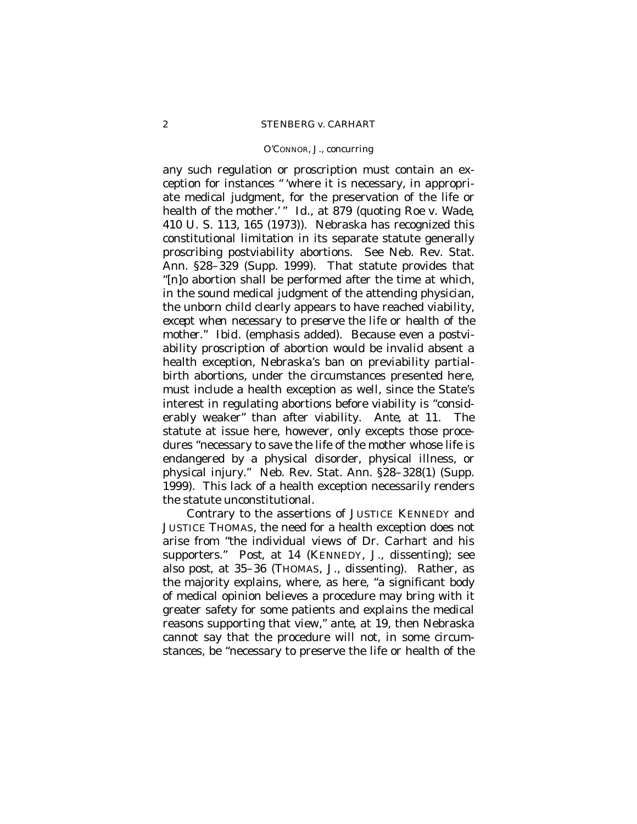any such regulation or proscription must contain an exception for instances "'where it is necessary, in appropriate medical judgment, for the preservation of the life or health of the mother.'" *Id.*, at 879 (quoting *Roe* v. *Wade,* 410 U. S. 113, 165 (1973)). Nebraska has recognized this constitutional limitation in its separate statute generally proscribing postviability abortions. See Neb. Rev. Stat. Ann. §28–329 (Supp. 1999). That statute provides that "[n]o abortion shall be performed after the time at which, in the sound medical judgment of the attending physician, the unborn child clearly appears to have reached viability, *except when necessary to preserve the life or health of the mother*." *Ibid.* (emphasis added). Because even a postviability proscription of abortion would be invalid absent a health exception, Nebraska's ban on previability partialbirth abortions, under the circumstances presented here, must include a health exception as well, since the State's interest in regulating abortions before viability is "considerably weaker" than after viability. *Ante*, at 11. The statute at issue here, however, only excepts those procedures "necessary to save the life of the mother whose life is endangered by a physical disorder, physical illness, or physical injury." Neb. Rev. Stat. Ann. §28–328(1) (Supp. 1999). This lack of a health exception necessarily renders the statute unconstitutional.

Contrary to the assertions of JUSTICE KENNEDY and JUSTICE THOMAS, the need for a health exception does not arise from "the individual views of Dr. Carhart and his supporters." *Post*, at 14 (KENNEDY, J*.*, dissenting); see also *post*, at 35–36 (THOMAS, J., dissenting). Rather, as the majority explains, where, as here, "a significant body of medical opinion believes a procedure may bring with it greater safety for some patients and explains the medical reasons supporting that view," *ante*, at 19, then Nebraska cannot say that the procedure will not, in some circumstances, be "necessary to preserve the life or health of the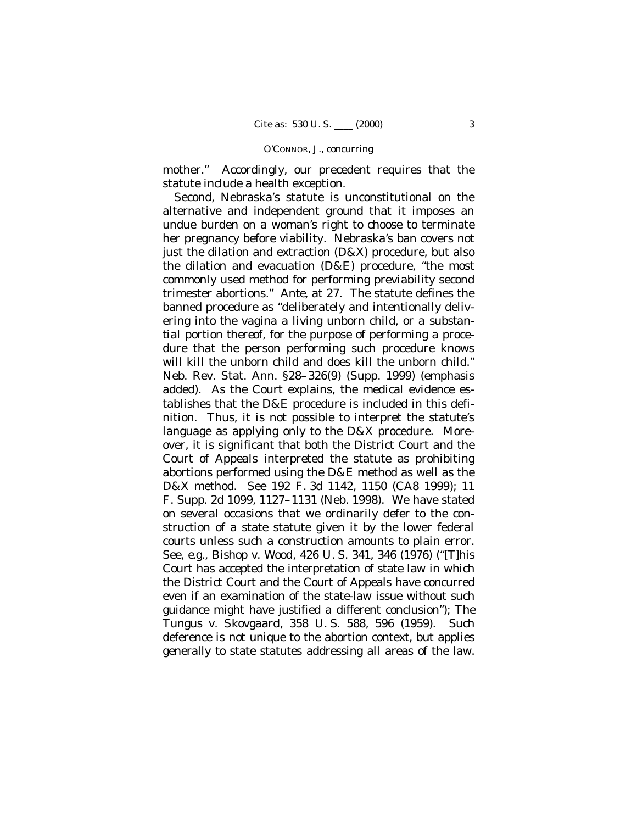mother." Accordingly, our precedent requires that the statute include a health exception.

Second, Nebraska's statute is unconstitutional on the alternative and independent ground that it imposes an undue burden on a woman's right to choose to terminate her pregnancy before viability. Nebraska's ban covers not just the dilation and extraction (D&X) procedure, but also the dilation and evacuation (D&E) procedure, "the most commonly used method for performing previability second trimester abortions." *Ante*, at 27. The statute defines the banned procedure as "deliberately and intentionally delivering into the vagina a living unborn child, *or a substantial portion thereof*, for the purpose of performing a procedure that the person performing such procedure knows will kill the unborn child and does kill the unborn child." Neb. Rev. Stat. Ann. §28–326(9) (Supp. 1999) (emphasis added). As the Court explains, the medical evidence establishes that the D&E procedure is included in this definition. Thus, it is not possible to interpret the statute's language as applying only to the D&X procedure. Moreover, it is significant that both the District Court and the Court of Appeals interpreted the statute as prohibiting abortions performed using the D&E method as well as the D&X method. See 192 F. 3d 1142, 1150 (CA8 1999); 11 F. Supp. 2d 1099, 1127–1131 (Neb. 1998). We have stated on several occasions that we ordinarily defer to the construction of a state statute given it by the lower federal courts unless such a construction amounts to plain error. See, *e.g., Bishop* v. *Wood,* 426 U. S. 341, 346 (1976) ("[T]his Court has accepted the interpretation of state law in which the District Court and the Court of Appeals have concurred even if an examination of the state-law issue without such guidance might have justified a different conclusion"); *The Tungus* v. *Skovgaard,* 358 U. S. 588, 596 (1959). Such deference is not unique to the abortion context, but applies generally to state statutes addressing all areas of the law.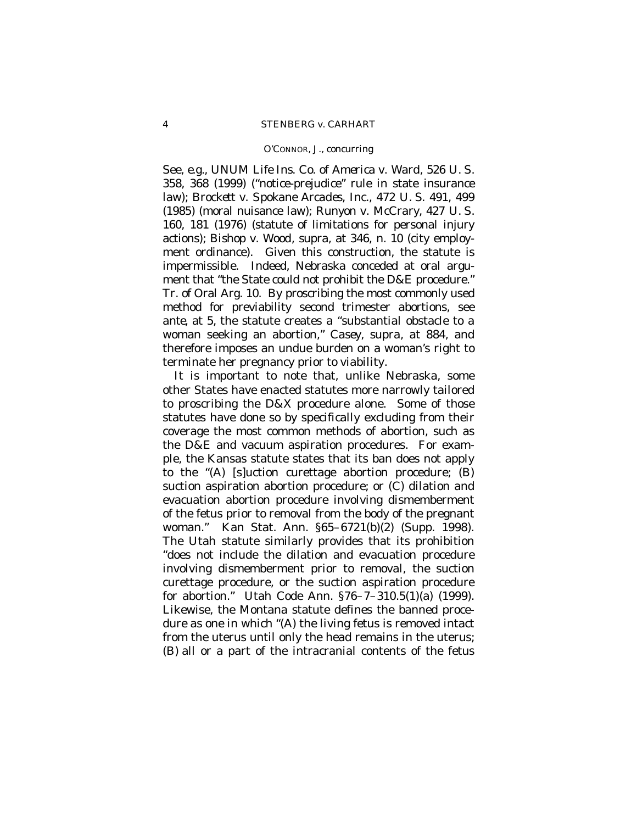See, *e.g.*, *UNUM Life Ins. Co. of America* v. *Ward,* 526 U. S. 358, 368 (1999) ("notice-prejudice" rule in state insurance law); *Brockett* v. *Spokane Arcades, Inc.,* 472 U. S. 491, 499 (1985) (moral nuisance law); *Runyon* v. *McCrary,* 427 U. S. 160, 181 (1976) (statute of limitations for personal injury actions); *Bishop* v. *Wood, supra*, at 346, n. 10 (city employment ordinance). Given this construction, the statute is impermissible. Indeed, Nebraska conceded at oral argument that "the State could not prohibit the D&E procedure." Tr. of Oral Arg. 10. By proscribing the most commonly used method for previability second trimester abortions, see *ante,* at 5, the statute creates a "substantial obstacle to a woman seeking an abortion," *Casey*, *supra*, at 884, and therefore imposes an undue burden on a woman's right to terminate her pregnancy prior to viability.

It is important to note that, unlike Nebraska, some other States have enacted statutes more narrowly tailored to proscribing the D&X procedure alone. Some of those statutes have done so by specifically excluding from their coverage the most common methods of abortion, such as the D&E and vacuum aspiration procedures. For example, the Kansas statute states that its ban does not apply to the "(A) [s]uction curettage abortion procedure; (B) suction aspiration abortion procedure; or (C) dilation and evacuation abortion procedure involving dismemberment of the fetus prior to removal from the body of the pregnant woman." Kan Stat. Ann. §65–6721(b)(2) (Supp. 1998). The Utah statute similarly provides that its prohibition "does not include the dilation and evacuation procedure involving dismemberment prior to removal, the suction curettage procedure, or the suction aspiration procedure for abortion." Utah Code Ann. §76–7–310.5(1)(a) (1999). Likewise, the Montana statute defines the banned procedure as one in which "(A) the living fetus is removed intact from the uterus until only the head remains in the uterus; (B) all or a part of the intracranial contents of the fetus